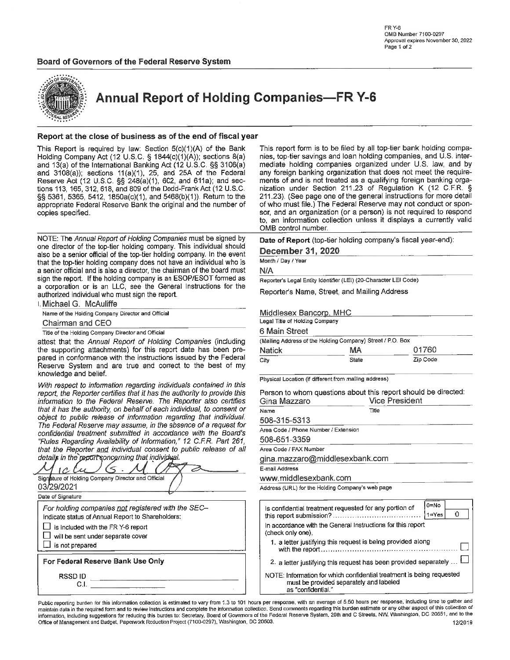### Board of Governors of the Federal Reserve System



**Annual Report of Holding Companies-FR Y-6** 

### Report at the close of business as of the end of fiscal year

This Report is required by law: Section 5(c)(1)(A) of the Bank Holding Company Act (12 U.S.C. § 1844(c)(1)(A)); sections 8(a) and 13(a) of the International Banking Act (12 U.S.C. §§ 3106(a) and 3108(a)); sections 11(a)(1), 25, and 25A of the Federal Reserve Act (12 U.S.C. §§ 248(a)(1), 602, and 611a); and sections 113, 165, 312, 618, and 809 of the Dodd-Frank Act (12 U.S.C. §§ 5361, 5365, 5412, 1850a(c)(1), and 5468(b)(1)). Return to the appropriate Federal Reserve Bank the original and the number of copies specified.

NOTE: The Annual Report of Holding Companies must be signed by one director of the top-tier holding company. This individual should also be a senior official of the top-tier holding company. In the event that the top-tier holding company does not have an individual who is a senior official and is also a director, the chairman of the board must sign the report. If the holding company is an ESOP/ESOT formed as a corporation or is an LLC, see the General Instructions for the authorized individual who must sign the report.

I. Michael G. McAuliffe

Name of the Holding Company Director and Official

Chairman and CEO

Title of the Holding Company Director and Official

attest that the Annual Report of Holding Companies (including the supporting attachments) for this report date has been prepared in conformance with the instructions issued by the Federal Reserve System and are true and correct to the best of my knowledge and belief.

With respect to information regarding individuals contained in this report, the Reporter certifies that it has the authority to provide this information to the Federal Reserve. The Reporter also certifies that it has the authority, on behalf of each individual, to consent or object to public release of information regarding that individual. The Federal Reserve may assume, in the absence of a request for confidential treatment submitted in accordance with the Board's "Rules Regarding Availability of Information," 12 C.F.R. Part 261, that the Reporter and individual consent to public release of all details in the report soncerning that individual

| Signature of Holding Company Director and Official<br>03/29/2021 |
|------------------------------------------------------------------|
|                                                                  |
| Date of Signature                                                |
| For holding companies not registered with the SEC-               |
| Indicate status of Annual Report to Shareholders:                |
| is included with the FR Y-6 report                               |
| will be sent under separate cover                                |
| is not prepared                                                  |
| For Federal Reserve Bank Use Only                                |
| RSSD ID                                                          |
| C.I                                                              |
|                                                                  |

This report form is to be filed by all top-tier bank holding companies, top-tier savings and loan holding companies, and U.S. intermediate holding companies organized under U.S. law, and by any foreign banking organization that does not meet the requirements of and is not treated as a qualifying foreign banking organization under Section 211.23 of Regulation K (12 C.F.R. § 211.23). (See page one of the general instructions for more detail of who must file.) The Federal Reserve may not conduct or sponsor, and an organization (or a person) is not required to respond to, an information collection unless it displays a currently valid OMB control number.

Date of Report (top-tier holding company's fiscal year-end):

**December 31, 2020** 

Month / Day / Year

N/A

Reporter's Legal Entity Identifier (LEI) (20-Character LEI Code)

Reporter's Name, Street, and Mailing Address

Middlesex Bancorp, MHC

Legal Title of Holding Company

| 6 Main Street                                              |       |          |
|------------------------------------------------------------|-------|----------|
| (Mailing Address of the Holding Company) Street / P.O. Box |       |          |
| Natick                                                     | MA    | 01760    |
| City                                                       | State | Zip Code |

Physical Location (if different from mailing address)

Person to whom questions about this report should be directed: **Vice President** Gina Mazzaro

| Name                                             | Title |
|--------------------------------------------------|-------|
| 508-315-5313                                     |       |
| Area Code / Phone Number / Extension             |       |
| 508-651-3359                                     |       |
| Area Code / FAX Number                           |       |
| gina.mazzaro@middlesexbank.com                   |       |
| E-mail Address                                   |       |
| www.middlesexbank.com                            |       |
| Address (URL) for the Holding Company's web page |       |
|                                                  |       |
|                                                  |       |

| Is confidential treatment requested for any portion of                                                                                 | 10=No      |
|----------------------------------------------------------------------------------------------------------------------------------------|------------|
|                                                                                                                                        | $1 = Y$ es |
| In accordance with the General Instructions for this report<br>(check only one).                                                       |            |
| 1. a letter justifying this request is being provided along                                                                            |            |
| 2. a letter justifying this request has been provided separately                                                                       |            |
| NOTE: Information for which confidential treatment is being requested<br>must be provided separately and labeled<br>as "confidential." |            |

Public reporting burden for this information collection is estimated to vary from 1.3 to 101 hours per response, with an average of 5.50 hours per response, including time to gather and maintain data in the required form and to review instructions and complete the information collection. Send comments regarding this burden estimate or any other aspect of this collection of information, including suggestions for reducing this burden to: Secretary, Board of Governors of the Federal Reserve System, 20th and C Streets, NW, Washington, DC 20551, and to the Office of Management and Budget, Paperwork Reduction Project (7100-0297), Washington, DC 20503. 12/2019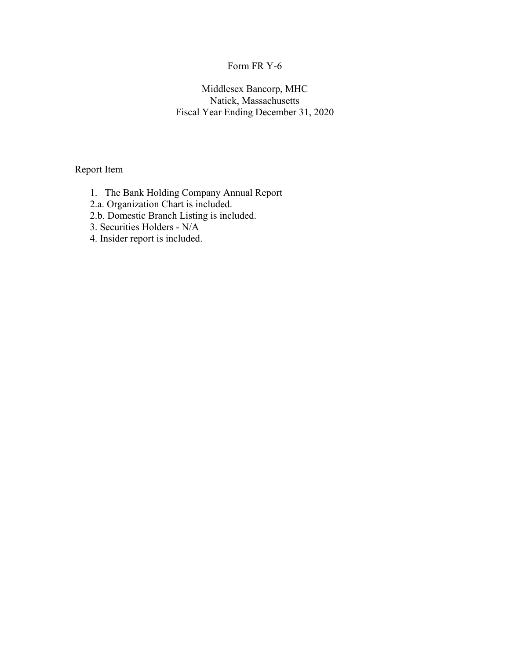# Form FR Y-6

## Middlesex Bancorp, MHC Natick, Massachusetts Fiscal Year Ending December 31, 2020

Report Item

- 1. The Bank Holding Company Annual Report
- 2.a. Organization Chart is included.
- 2.b. Domestic Branch Listing is included.
- 3. Securities Holders N/A
- 4. Insider report is included.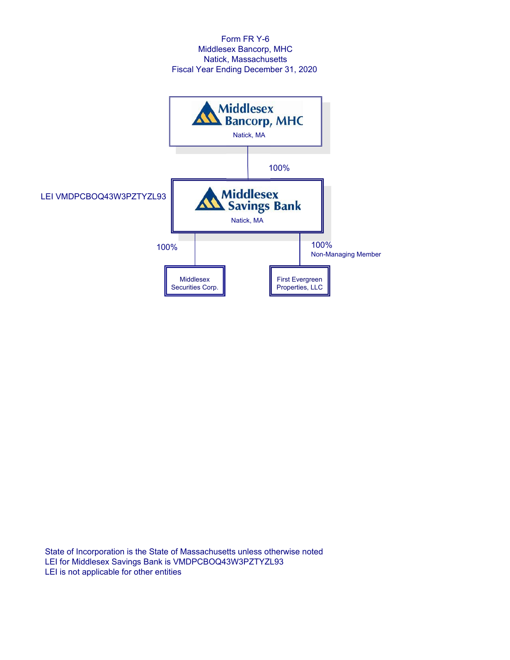Form FR Y-6 Middlesex Bancorp, MHC Natick, Massachusetts Fiscal Year Ending December 31, 2020



State of Incorporation is the State of Massachusetts unless otherwise noted LEI for Middlesex Savings Bank is VMDPCBOQ43W3PZTYZL93 LEI is not applicable for other entities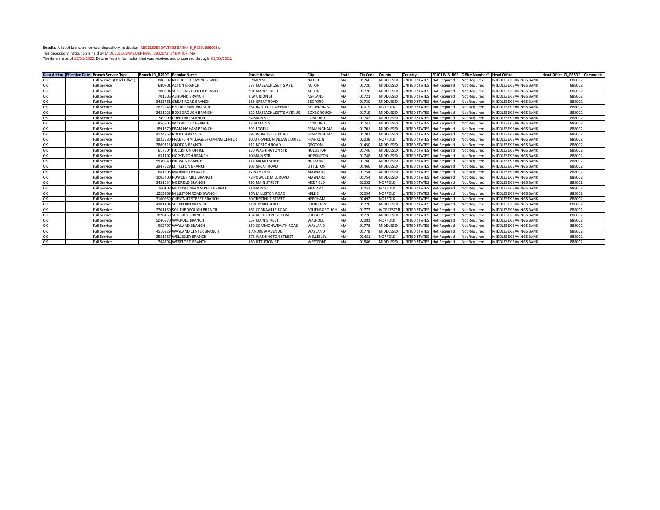## **Results**: A list of branches for your depository institution: MIDDLESEX SAVINGS BANK (ID\_RSSD: 888002).<br>This depository institution is held by MIDDLESEX BANCORP MHC (3932072) of NATICK, MA.

The data are as of 12/31/2020. Data reflects information that was received and processed through 01/05/2021.

|    | Data Action Effective Date Branch Service Type | Branch ID RSSD* Popular Name |                                          | <b>Street Address</b>        | City              | <b>State</b> | <b>Zip Code</b> | County           | Country                    |                     | FDIC UNINUM* Office Number* | <b>Head Office</b>     | Head Office ID RSSD* Comments |  |
|----|------------------------------------------------|------------------------------|------------------------------------------|------------------------------|-------------------|--------------|-----------------|------------------|----------------------------|---------------------|-----------------------------|------------------------|-------------------------------|--|
|    | Full Service (Head Office)                     |                              | 888002 MIDDLESEX SAVINGS BANK            | <b>MAIN ST</b>               | <b>NATICK</b>     | <b>MA</b>    | 01760           | MIDDLESEX        | UNITED STATES              | <b>Not Required</b> | <b>Not Required</b>         | MIDDLESEX SAVINGS BANK | 888002                        |  |
|    | <b>Full Service</b>                            |                              | 680701 ACTON BRANCH                      | 577 MASSACHUSETTS AVE        | <b>ACTON</b>      | MA           | 01720           | MIDDLESEX        | UNITED STATES              | Not Required        | <b>Not Required</b>         | MIDDLESEX SAVINGS BANK | 888002                        |  |
| OK | <b>Full Service</b>                            |                              | 180304 SHOPPING CENTER BRANCH            | 291 MAIN STREET              | <b>ACTON</b>      | MA           | 01720           | MIDDLESEX        | UNITED STATES              | Not Required        | <b>Not Required</b>         | MIDDLESEX SAVINGS BANK | 888002                        |  |
|    | <b>Full Service</b>                            |                              | 701606 ASHLAND BRANCH                    | W UNION ST                   | <b>ASHLAND</b>    | <b>MA</b>    | 01721           | MIDDLESEX        | <b>JNITED STATES</b>       | Not Required        | <b>Not Required</b>         | MIDDLESEX SAVINGS BANK | 888002                        |  |
|    | <b>Full Service</b>                            |                              | 3483761 GREAT ROAD BRANCH                | 186 GREAT ROAD               | <b>BEDFORD</b>    | MA           | 01730           | MIDDLESEX        | UNITED STATES              | Not Required        | <b>Not Required</b>         | MIDDLESEX SAVINGS BANK | 888002                        |  |
|    | <b>Full Service</b>                            |                              | 2822943 BELLINGHAM BRANCH                | 267 HARTFORD AVENUE          | <b>BELLINGHAM</b> | MA           | 02019           | <b>NORFOLK</b>   | UNITED STATES              | Not Required        | <b>Not Required</b>         | MIDDLESEX SAVINGS BANK | 888002                        |  |
|    | <b>Full Service</b>                            |                              | 3431025 BOXBOROUGH BRANCH                | 629 MASSACHUSETTS AVENUE     | <b>BOXBOROUGH</b> | <b>MA</b>    | 01719           | <b>MIDDLESEX</b> | <b>JNITED STATES</b>       | Not Required        | <b>Not Required</b>         | MIDDLESEX SAVINGS BANK | 888002                        |  |
|    | <b>Full Service</b>                            |                              | 749000 CONCORD BRANCH                    | 64 MAIN ST                   | CONCORD           | MA           | 01742           | MIDDLESEX        | UNITED STATES              | Not Required        | Not Required                | MIDDLESEX SAVINGS BANK | 888002                        |  |
|    | <b>Full Service</b>                            |                              | 856805 W CONCORD BRANCH                  | 208 MAIN ST                  | CONCORD           | MA           | 01742           | <b>MIDDLESEX</b> | <b>JNITED STATES</b>       | <b>Not Required</b> | Not Required                | MIDDLESEX SAVINGS BANK | 888002                        |  |
|    | <b>Full Service</b>                            |                              | 1891670 FRAMINGHAM BRANCH                | 899 EDGELL                   | <b>FRAMINGHAM</b> | <b>MA</b>    | 01701           | MIDDLESEX        | <b>JNITED STATES</b>       | Not Required        | <b>Not Required</b>         | MIDDLESEX SAVINGS BANK | 888002                        |  |
|    | <b>Full Service</b>                            |                              | 4124968 ROUTE 9 BRANCH                   | 598 WORCESTER ROAD           | <b>FRAMINGHAM</b> | MA           | 01702           | MIDDLESEX        | UNITED STATES              | <b>Not Required</b> | <b>Not Required</b>         | MIDDLESEX SAVINGS BANK | 888002                        |  |
|    | <b>Full Service</b>                            |                              | 1923580 FRANKLIN VILLAGE SHOPPING CENTER | 1000 FRANKLIN VILLAGE DRIVE  | <b>FRANKLIN</b>   | <b>MA</b>    | 02038           | <b>NORFOLK</b>   | UNITED STATES Not Required |                     | <b>Not Required</b>         | MIDDLESEX SAVINGS BANK | 888002                        |  |
|    | <b>Full Service</b>                            |                              | 2869715 GROTON BRANCH                    | 112 BOSTON ROAD              | <b>GROTON</b>     | MA           | 01450           | MIDDLESEX        | <b>JNITED STATES</b>       | Not Required        | <b>Not Required</b>         | MIDDLESEX SAVINGS BANK | 888002                        |  |
|    | <b>Full Service</b>                            |                              | 617604 HOLLISTON OFFICE                  | <b>830 WASHINGTON STR</b>    | <b>HOLLISTON</b>  | MA           | 01746           | MIDDLESEX        | UNITED STATES              | <b>Not Required</b> | <b>Not Required</b>         | MIDDLESEX SAVINGS BANK | 888002                        |  |
|    | <b>Full Service</b>                            |                              | 651402 HOPKINTON BRANCH                  | 10 MAIN STR                  | <b>HOPKINTON</b>  | <b>MA</b>    | 01748           | MIDDLESEX        | JNITED STATES Not Required |                     | <b>Not Required</b>         | MIDDLESEX SAVINGS BANK | 888002                        |  |
| OK | <b>Full Service</b>                            |                              | 5530940 HUDSON BRANCH                    | <b>17 BROAD STREET</b>       | <b>HUDSON</b>     | MA           | 01760           | <b>MIDDLESEX</b> | UNITED STATES              | Not Required        | <b>Not Required</b>         | MIDDLESEX SAVINGS BANK | 888002                        |  |
|    | <b>Full Service</b>                            |                              | 2947529 LITTLETON BRANCH                 | 308 GREAT ROAD               | LITTLETON         | MA           | 01460           | MIDDLESEX        | <b>JNITED STATES</b>       | <b>Not Required</b> | <b>Not Required</b>         | MIDDLESEX SAVINGS BANK | 888002                        |  |
|    | <b>Full Service</b>                            |                              | 681203 MAYNARD BRANCH                    | 17 NASON ST                  | MAYNARD           | MA           | 01754           | <b>MIDDLESEX</b> | UNITED STATES Not Required |                     | <b>Not Required</b>         | MIDDLESEX SAVINGS BANK | 888002                        |  |
|    | <b>Full Service</b>                            |                              | 1003400 POWDER MILL BRANCH               | <b>2 POWDER MILL ROAD</b>    | MAYNARD           | <b>MA</b>    | 01754           | MIDDLESEX        | UNITED STATES              | Not Required        | <b>Not Required</b>         | MIDDLESEX SAVINGS BANK | 888002                        |  |
|    | <b>Full Service</b>                            |                              | 3431034 MEDFIELD BRANCH                  | <b>495 MAIN STREET</b>       | MEDFIELD          | MA           | 02052           | <b>NORFOLK</b>   | UNITED STATES              | <b>Not Required</b> | <b>Not Required</b>         | MIDDLESEX SAVINGS BANK | 888002                        |  |
|    | <b>Full Service</b>                            |                              | 760108 MEDWAY MAIN STREET BRANCH         | 81 MAIN ST                   | <b>MEDWAY</b>     | MA           | 02053           | NORFOLK          | UNITED STATES Not Required |                     | <b>Not Required</b>         | MIDDLESEX SAVINGS BANK | 888002                        |  |
| OK | <b>Full Service</b>                            |                              | 1223909 MILLISTON ROAD BRANCH            | <b>36A MILLISTON ROAD</b>    | <b>MILLIS</b>     | <b>MA</b>    | 02054           | <b>NORFOLK</b>   | UNITED STATES              | Not Required        | <b>Not Required</b>         | MIDDLESEX SAVINGS BANK | 888002                        |  |
|    | <b>Full Service</b>                            |                              | 3160259 CHESTNUT STREET BRANCH           | 50 CHESTNUT STREET           | NEEDHAM           | MA           | 02492           | <b>NORFOL</b>    | UNITED STATES              | Not Required        | Not Required                | MIDDLESEX SAVINGS BANK | 888002                        |  |
|    | <b>Full Service</b>                            |                              | 4901404 SHERBORN BRANCH                  | 31 N. MAIN STREET            | <b>SHERBORN</b>   | MA           | 01770           | <b>MIDDLESEX</b> | UNITED STATES              | <b>Not Required</b> | <b>Not Required</b>         | MIDDLESEX SAVINGS BANK | 888002                        |  |
|    | <b>Full Service</b>                            |                              | 2701150 SOUTHBOROUGH BRANCH              | <b>162 CORDAVILLE ROAD</b>   | SOUTHBOROUGH      | MA           | 01772           | <b>WORCEST</b>   | <b>UNITED STATES</b>       | Not Required        | <b>Not Required</b>         | MIDDLESEX SAVINGS BANK | 888002                        |  |
|    | <b>Full Service</b>                            |                              | 3820450 SUDBURY BRANCH                   | 454 BOSTON POST ROAD         | <b>SUDBURY</b>    | MA           | 01776           | <b>MIDDLESEX</b> | <b>JNITED STATES</b>       | <b>Not Required</b> | Not Required                | MIDDLESEX SAVINGS BANK | 888002                        |  |
|    | <b>Full Service</b>                            |                              | 5046870 WALPOLE BRANCH                   | <b>657 MAIN STREET</b>       | WALPOLE           | MA           | 02081           | NORFOLK          | UNITED STATES              | <b>Not Required</b> | <b>Not Required</b>         | MIDDLESEX SAVINGS BANK | 888002                        |  |
| OK | <b>Full Service</b>                            |                              | 952707 WAYLAND BRANCH                    | <b>150 COMMONWEALTH ROAD</b> | WAYLAND           | MA           | 01778           | MIDDLESE>        | UNITED STATES              | Not Required        | <b>Not Required</b>         | MIDDLESEX SAVINGS BANK | 888002                        |  |
|    | <b>Full Service</b>                            |                              | 4516929 WAYLAND CENTER BRANCH            | 1 ANDREW AVENUE              | WAYLAND           | <b>MA</b>    | 01778           | MIDDLESEX        | <b>JNITED STATES</b>       | <b>Not Required</b> | <b>Not Required</b>         | MIDDLESEX SAVINGS BANK | 888002                        |  |
| OK | <b>Full Service</b>                            |                              | 2531487 WELLESLEY BRANCH                 | 278 WASHINGTON STREET        | WELLESLEY         | MA           | 02481           | <b>NORFOLK</b>   | UNITED STATES              | Not Required        | <b>Not Required</b>         | MIDDLESEX SAVINGS BANK | 888002                        |  |
| ОК | <b>Full Service</b>                            |                              | 764704 WESTFORD BRANCH                   | <b>160 LITTLETON RD</b>      | WESTFORD          | MA           | 01886           | MIDDLESEX        | UNITED STATES Not Required |                     | Not Required                | MIDDLESEX SAVINGS BANK | 888002                        |  |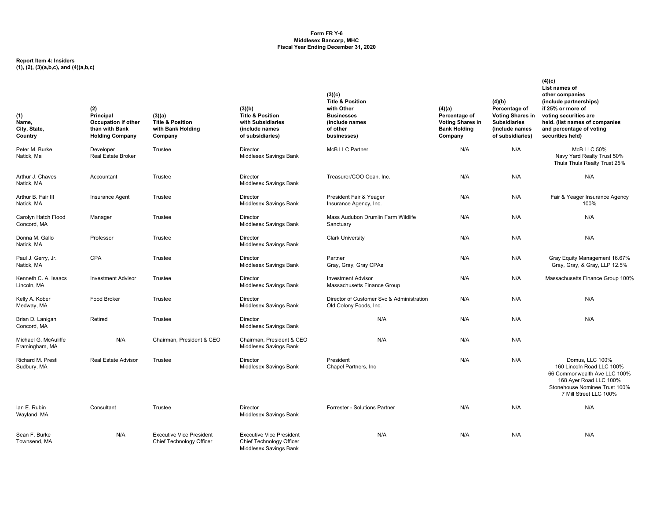#### **Form FR Y-6 Middlesex Bancorp, MHC Fiscal Year Ending December 31, 2020**

#### **Report Item 4: Insiders**

**(1), (2), (3)(a,b,c), and (4)(a,b,c)**

| (1)<br>Name,<br>City, State,<br>Country | (2)<br>Principal<br>Occupation if other<br>than with Bank<br><b>Holding Company</b> | (3)(a)<br><b>Title &amp; Position</b><br>with Bank Holding<br>Company | (3)(b)<br><b>Title &amp; Position</b><br>with Subsidiaries<br>(include names<br>of subsidiaries) | (3)(c)<br><b>Title &amp; Position</b><br>with Other<br><b>Businesses</b><br>(include names<br>of other<br>businesses) | (4)(a)<br>Percentage of<br><b>Voting Shares in</b><br><b>Bank Holding</b><br>Company | (4)(b)<br>Percentage of<br><b>Voting Shares in</b><br><b>Subsidiaries</b><br>(include names<br>of subsidiaries) | (4)(c)<br>List names of<br>other companies<br>(include partnerships)<br>if 25% or more of<br>voting securities are<br>held. (list names of companies<br>and percentage of voting<br>securities held) |
|-----------------------------------------|-------------------------------------------------------------------------------------|-----------------------------------------------------------------------|--------------------------------------------------------------------------------------------------|-----------------------------------------------------------------------------------------------------------------------|--------------------------------------------------------------------------------------|-----------------------------------------------------------------------------------------------------------------|------------------------------------------------------------------------------------------------------------------------------------------------------------------------------------------------------|
| Peter M. Burke<br>Natick, Ma            | Developer<br><b>Real Estate Broker</b>                                              | Trustee                                                               | Director<br>Middlesex Savings Bank                                                               | <b>McB LLC Partner</b>                                                                                                | N/A                                                                                  | N/A                                                                                                             | McB LLC 50%<br>Navy Yard Realty Trust 50%<br>Thula Thula Realty Trust 25%                                                                                                                            |
| Arthur J. Chaves<br>Natick, MA          | Accountant                                                                          | Trustee                                                               | Director<br>Middlesex Savings Bank                                                               | Treasurer/COO Coan, Inc.                                                                                              | N/A                                                                                  | N/A                                                                                                             | N/A                                                                                                                                                                                                  |
| Arthur B. Fair III<br>Natick, MA        | Insurance Agent                                                                     | Trustee                                                               | <b>Director</b><br>Middlesex Savings Bank                                                        | President Fair & Yeager<br>Insurance Agency, Inc.                                                                     | N/A                                                                                  | N/A                                                                                                             | Fair & Yeager Insurance Agency<br>100%                                                                                                                                                               |
| Carolyn Hatch Flood<br>Concord, MA      | Manager                                                                             | Trustee                                                               | Director<br>Middlesex Savings Bank                                                               | Mass Audubon Drumlin Farm Wildlife<br>Sanctuary                                                                       | N/A                                                                                  | N/A                                                                                                             | N/A                                                                                                                                                                                                  |
| Donna M. Gallo<br>Natick, MA            | Professor                                                                           | Trustee                                                               | Director<br>Middlesex Savings Bank                                                               | <b>Clark University</b>                                                                                               | N/A                                                                                  | N/A                                                                                                             | N/A                                                                                                                                                                                                  |
| Paul J. Gerry, Jr.<br>Natick, MA        | CPA                                                                                 | Trustee                                                               | Director<br>Middlesex Savings Bank                                                               | Partner<br>Gray, Gray, Gray CPAs                                                                                      | N/A                                                                                  | N/A                                                                                                             | Gray Equity Management 16.67%<br>Gray, Gray, & Gray, LLP 12.5%                                                                                                                                       |
| Kenneth C. A. Isaacs<br>Lincoln, MA     | <b>Investment Advisor</b>                                                           | Trustee                                                               | Director<br>Middlesex Savings Bank                                                               | <b>Investment Advisor</b><br>Massachusetts Finance Group                                                              | N/A                                                                                  | N/A                                                                                                             | Massachusetts Finance Group 100%                                                                                                                                                                     |
| Kelly A. Kober<br>Medway, MA            | Food Broker                                                                         | Trustee                                                               | Director<br>Middlesex Savings Bank                                                               | Director of Customer Svc & Administration<br>Old Colony Foods, Inc.                                                   | N/A                                                                                  | N/A                                                                                                             | N/A                                                                                                                                                                                                  |
| Brian D. Lanigan<br>Concord, MA         | Retired                                                                             | Trustee                                                               | Director<br>Middlesex Savings Bank                                                               | N/A                                                                                                                   | N/A                                                                                  | N/A                                                                                                             | N/A                                                                                                                                                                                                  |
| Michael G. McAuliffe<br>Framingham, MA  | N/A                                                                                 | Chairman, President & CEO                                             | Chairman, President & CEO<br>Middlesex Savings Bank                                              | N/A                                                                                                                   | N/A                                                                                  | N/A                                                                                                             |                                                                                                                                                                                                      |
| Richard M. Presti<br>Sudbury, MA        | <b>Real Estate Advisor</b>                                                          | Trustee                                                               | Director<br>Middlesex Savings Bank                                                               | President<br>Chapel Partners, Inc.                                                                                    | N/A                                                                                  | N/A                                                                                                             | Domus, LLC 100%<br>160 Lincoln Road LLC 100%<br>66 Commonwealth Ave LLC 100%<br>168 Ayer Road LLC 100%<br>Stonehouse Nominee Trust 100%<br>7 Mill Street LLC 100%                                    |
| lan E. Rubin<br>Wayland, MA             | Consultant                                                                          | Trustee                                                               | Director<br>Middlesex Savings Bank                                                               | Forrester - Solutions Partner                                                                                         | N/A                                                                                  | N/A                                                                                                             | N/A                                                                                                                                                                                                  |
| Sean F. Burke<br>Townsend, MA           | N/A                                                                                 | <b>Executive Vice President</b><br>Chief Technology Officer           | <b>Executive Vice President</b><br>Chief Technology Officer<br>Middlesex Savings Bank            | N/A                                                                                                                   | N/A                                                                                  | N/A                                                                                                             | N/A                                                                                                                                                                                                  |